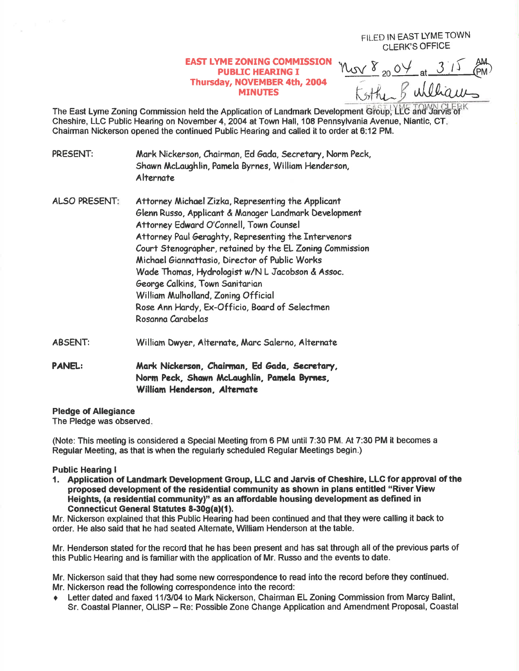## FILED IN EAST LYME TOWN CLERK'S OFFICE

## EAST LYME ZONING COMMISSION **PUBLIC HEARING I** Thursday, NOVEMBER 4th, 2004 MINUTES

 $\frac{M_{UV} 8}{60}$  20 0  $\frac{4t}{3}$   $\frac{3}{1}$   $\frac{20}{9}$ Sthe 5 William

The East Lyme Zoning Commission held the Application of Landmark Development Group, LLC and Jarvis of Cheshire, LLC Public Hearing on November 4, 2004 at Town Hall, 108 Pennsylvania Avenue, Niantic, CT. Ghairman Nickerson opened the continued Public Hearing and called it to order at 6:12 PM.

- PRESENT: Mark Nickerson, Chairman, Ed Gada, Secretary, Norm Peck, Shawn McLaughlin, Pamela Byrnes, William Henderson, Alternate
- ALSO PRESENT: Attorney Michael Zizka, Representing the Applicant 6lenn Russo, Applicant & Manager Landmark Development Attorney Edward O'Connell, Town Counsel Attorney Paul Geraghty, Representing the Intervenors Court Stenographer, retained by the EL Zoning Commission Michael Giannattasio, Director of Public Works Wade Thomas, Hydrologist w/N L Jacobson & Assoc. George Calkins, Town Sanitarian William Mulholland, Zoning Official Rose Ann Hardy, Ex-Officio, Board of Selectmen Rosonno Carobelos
- ABSENT: William Dwyer, Alternate, Marc Salerno, Alternate
- PANEL: Mark Nickerson, Chairman, Ed Gada, Secretary, Norm Peck, Shawn McLaughlin, Pamela Byrnes, Williom Hendenson, Altcrnafe

#### Pledge of Allegiance

The Pledge was observed

(Note: This meeting is considered a Special Meeting from 6 PM until 7:30 PM. At 7:30 PM it becomes a Regular Meeting, as that is when the regularly scheduled Regular Meetings begin.)

#### Public Hearing I

1. Application of Landmark Development Group, LLC and Jarvis of Cheshire, LLC for approval of the proposed development of the residential community as shown in plans entitled "River View Heights, (a residential community)" as an affordable housing development as defined in Connecticut General Statutes 8-30g(a)(1).

Mr. Nickerson explained that this Public Hearing had been continued and that they were calling it back to order. He also said that he had seated Alternate, William Henderson at the table.

Mr. Henderson stated forthe record that he has been present and has sat through all of the previous parts of this Public Hearing and is familiar with the application of Mr. Russo and the events to date.

Mr. Nickerson said that they had some new correspondence to read into the record before they continued. Mr. Nickerson read the following conespondence into the record:

Letter dated and faxed 11/3/04 to Mark Nickerson, Chairman EL Zoning Commission from Marcy Balint, Sr. Coastal Planner, OLISP - Re: Possible Zone Change Application and Amendment Proposal, Coastal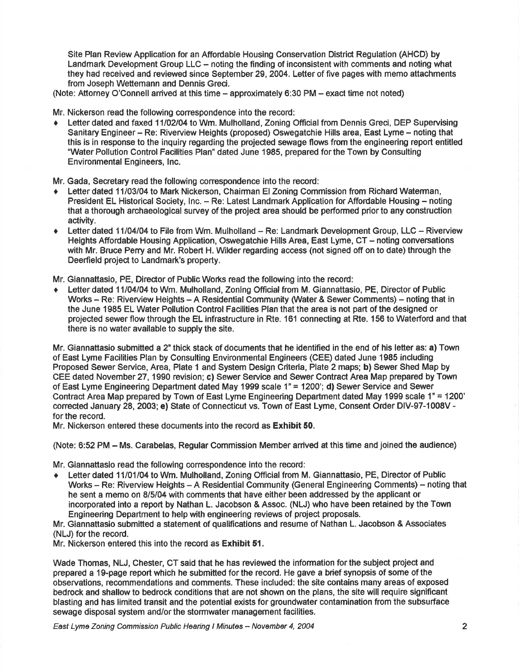Site Plan Review Application for an Affordable Housing Conservation District Regulation (AHCD) by Landmark Development Group LLC - noting the finding of inconsistent with comments and noting what they had received and reviewed since September 29, 2004. Letter of five pages with memo attachments from Joseph Wettemann and Dennis Greci.

(Note: Aftorney O'Connell arrived at this time - approximately 6:30 PM - exact time not noted)

Mr. Nickerson read the following conespondence into the record:

Letter dated and faxed 11/02/04 to Wm. Mulholland, Zoning Official from Dennis Greci, DEP Supervising Sanitary Engineer - Re: Riverview Heights (proposed) Oswegatchie Hills area, East Lyme - noting that this is in response to the inquiry regarding the projected sewage flows from the engineering report entitled "Water Pollution Control Facilities Plan" dated June 1985, prepared for the Town by Consulting Environmental Engineers, lnc.

Mr. Gada, Secretary read the following correspondence into the record:

- Letter dated 11/03/04 to Mark Nickerson, Chairman El Zoning Commission from Richard Waterman, President EL Historical Society, Inc. - Re: Latest Landmark Application for Affordable Housing - noting that a thorough archaeological survey of the projed area should be performed prior to any construction activity.
- $\bullet$  Letter dated 11/04/04 to File from Wm. Mulholland Re: Landmark Development Group, LLC Riverview Heights Affordable Housing Application, Oswegatchie Hills Area, East Lyme, CT - noting conversations with Mr. Bruce Perry and Mr. Robert H. Wilder regarding access (not signed off on to date) through the Deerfield project to Landmark's property.

Mr, Giannattasio, PE, Direc{or of Public Works read the following into the record:

Letter dated 11/04/04 to Wm. Mulholland, Zoning Official from M. Giannattasio, PE, Director of Public Works - Re: Riverview Heights - A Residential Community (Water & Sewer Comments) - noting that in the June 1985 EL Water Pollution Control Facilities Plan that the area is not part of the designed or projected sewer flow through the EL infrastructure in Rte. 161 connecting at Rte. 156 to Waterford and that there is no water available to supply the site.

Mr. Giannattasio submitted a 2" thick stack of documents that he identified in the end of his letter as: a) Town of East Lyme Facilities Plan by Consulting Environmental Engineers (CEE) dated June 1985 including Proposed Sewer Service, Area, Plate 1 and System Design Criteria, Plate 2 maps; b) Sewer Shed Map by CEE dated November 27, 1990 revision; c) Sewer Service and Sewer Contract Area Map prepared by Town of East Lyme Engineering Department dated May 1999 scale 1" = 1200'; d) Sewer Service and Sewer Contract Area Map prepared by Town of East Lyme Engineering Department dated May 1999 scale 1" = 1200' conected January 28,2003; e) State of Connecticut vs. Town of East Lyme, Consent Order DIV-97-1008V for the record.

Mr. Nickerson entered these documents into the record as Exhibit 50.

(Note: 6:52 PM - Ms. Carabelas, Regular Commission Member anived at this time and joined the audience)

Mr. Giannattasio read the following correspondence into the record:

Letter dated 11/01/04 to Wm. Mulholland, Zoning Official from M. Giannattasio, PE, Director of Public Works - Re: Riverview Heights - A Residential Community (General Engineering Comments) - noting that he sent a memo on 8/5/04 with comments that have either been addressed by the applicant or incorporated into a report by Nathan L. Jacobson & Assoc. (NLJ) who have been retained by the Town Engineering Department to help with engineering reviews of project proposals.

Mr, Giannattasio submitted a statement of qualifications and resume of Nathan L. Jacobson & Associates (NLJ) forthe record.

Mr. Nickerson entered this into the record as Exhibit 51.

Wade Thomas, NLJ, Chester, CT said that he has reviewed the information for the subject project and prepared a 19-page report which he submitted for the record. He gave a brief synopsis of some of the observations, recommendations and comments. These included: the site contains many areas of exposed bedrock and shallow to bedrock conditions that are not shown on the plans, the site will require significant blasting and has limited transit and the potential exists for groundwater contamination from the subsurface sewage disposal system and/or the stormwater management facilities.

East Lyme Zoning Comnission Public Hearing t Minutes - November 4, 2004 <sup>2</sup>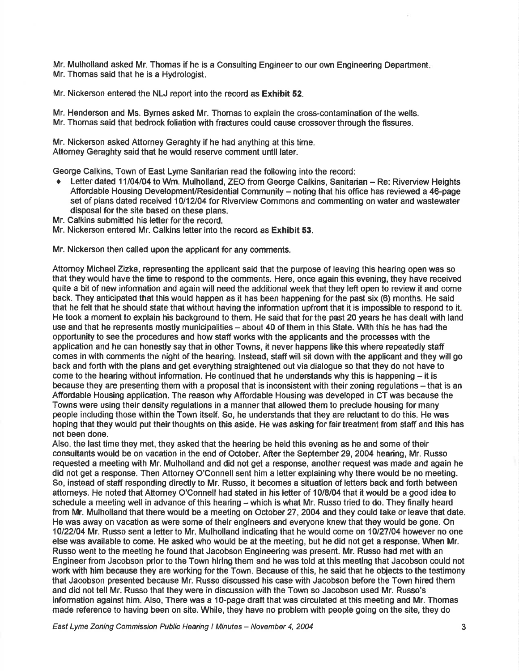Mr. Mulholland asked Mr. Thomas if he is a Consulting Engineer to our own Engineering Department. Mr. Thomas said that he is a Hydrologist.

Mr. Nickerson entered the NLJ report into the record as Exhibit 52.

Mr. Henderson and Ms. Byrnes asked Mr. Thomas to explain the cross-contamination of the wells. Mr. Thomas said that bedrock foliation with fractures could cause crossover through the fissures.

Mr. Nickerson asked Attorney Geraghty if he had anything at this time. Attorney Geraghty said that he would reserve comment until later.

George Calkins, Town of East Lyme Sanitarian read the following into the record:

- Letter dated 11/04/04 to Wm. Mulholland, ZEO from George Calkins, Sanitarian Re: Riverview Heights Affordable Housing Development/Residential Community - noting that his office has reviewed a 46-page set of plans dated received 10/12/04 for Riverview Commons and commenting on water and wastewater disposal for the site based on these plans.
- Mr. Calkins submitted his letter for the record.
- Mr. Nickerson entered Mr. Calkins letter into the record as Exhibit 53.

Mr. Nickerson then called upon the applicant for any comments.

Attomey Michael Zizka, representing the appllcant said that the purpose of leaving this hearing open was so that they would have the time to respond to the comments. Here, once again this evening, they have received quite a bit of new information and again will need the additional week that they lefi open to review it and come back. They anticipated that this would happen as it has been happening for the past six (6) months. He said that he felt that he should state that without having the information upfront that it is impossible to respond to it. He took a moment to explain his background to thern. He said that for the past 20 years he has dealt with land use and that he represents mostly municipalities - about 40 of them in this State. With this he has had the opportunity to see the procedures and how staff works with the applicants and the processes with the application and he can honestly say that in other Towns, it never happens like this where repeatedly staff comes in with comments the night of the hearing. lnstead, staff will sit down with the applicant and they will go back and forth with the plans and get everything straightened out via dialogue so that they do not have to come to the hearing without information. He continued that he understands why this is happening – it is because they are presenting them with a proposal that is inconsistent with their zoning regulations – that is an Affordable Housing application. The reason why Affordable Housing was developed in CT was because the Towns were using their density regulations in a mannerthat allowed them to preclude housing for many people including those within the Town itself. So, he understands that they are reluctant to do this. He was hoping that they would put their thoughts on this aside. He was asking for fair treatment from staff and this has not been done.

Also, the last time they met, they asked that the hearing be held this evening as he and some of their consultants would be on vacation in the end of October. Afier the September 29,2004 hearing, Mr. Russo requested a meeting with Mr. Mulholland and did not get a response, another request was made and again he did not get a response. Then Attorney O'Connell sent him a lefter explaining why there would be no meeting. So, instead of staff responding directly to Mr. Russo, it becomes a situation of letters back and forth between attorneys. He noted that Attorney O'Connell had stated in his letter of 10/8/04 that it would be a good idea to schedule a meeting well in advance of this hearing - which is what Mr. Russo tried to do. They finally heard from Mr. Mulholland that there would be a meeting on October 27,2004 and they could take or leave that date. He was away on vacation as were some of their engineers and everyone knew that they would be gone. On 10122104 Mr. Russo sent a letterto Mr. Mulholland indicating that he would come on 10127104 however no one else was available to come. He asked who would be at the meeting, but he did not get a response. When Mr. Russo went to the meeting he found that Jacobson Engineering was present. Mr. Russo had met with an Engineer from Jacobson prior to the Town hiring them and he was told at this meeting that Jacobson could not work with him because they are working for the Town. Because of this, he said that he objects to the testimony that Jacobson presented because Mr. Russo discussed his case with Jacobson before the Town hired them and did not tell Mr. Russo that they were in discussion with the Town so Jacobson used Mr. Russo's information against him. Also, There was a 1O-page draft that was oirculated at this meeting and Mr. Thomas made reference to having been on site. While, they have no problem with people going on the site, they do

East Lyme Zoning Commission Public Hearing I Minutes - November 4, 2004 3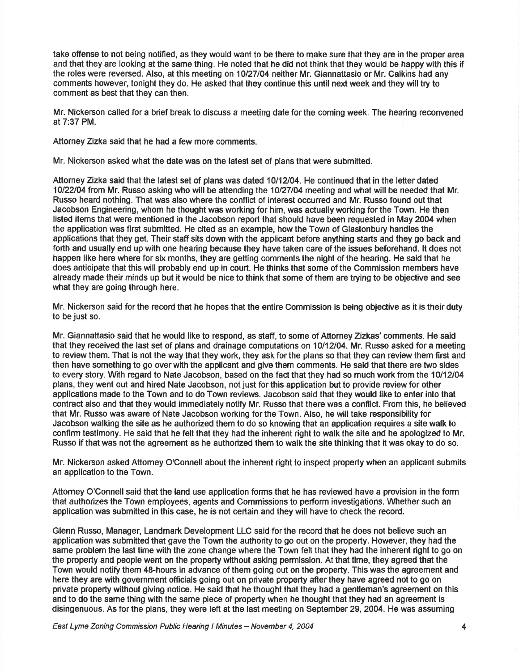take offense to not being notified, as they would want to be there to make sure that they are in the proper area and that they are looking at the same thing. He noted that he did not think that they would be happy with this if the roles were reversed. Also, at this meeting on 10/27/04 neither Mr. Giannattasio or Mr. Calkins had any comments however, tonight they do. He asked that they continue this until next week and they will try to comment as best that they can then.

Mr. Nickerson called for a brief break to discuss a meeting date for the coming week. The hearing reconvened at 7:37 PM.

Attorney Zizka said that he had a few more comments.

Mr. Nickerson asked what the date was on the latest set of plans that were submitted.

Attorney Zizka said that the latest set of plans was dated 10/12/04. He continued that in the letter dated 10122104 from Mr. Russo asking who will be attending lhe 10127104 meeting and what will be needed that Mr. Russo heard nothing. That was also where the conflict of interest occurred and Mr. Russo found out that Jacobson Engineering, whom he thought was working for him, was actually working for the Town. He then listed items that were mentioned in the Jacobson report that should have been requested in May 2004 when the application was first submifted. He cited as an example, how the Town of Glastonbury handles the applications that they get. Their staff sits down with the applicant before anything starts and they go back and forth and usually end up with one hearing because they have taken care of the issues beforehand. lt does not happen like here where for six months, they are getting comments the night of the hearing. He said that he does anticipate that this will probably end up in court. He thinks that some of the Commission members have already made their minds up but it would be nice to think that some of them are trying to be objective and see what they are going through here.

Mr. Nickerson said for the record that he hopes that the entire Commission is being objective as it is their duty to be just so.

Mr. Giannattasio said that he would like to respond, as staff, to some of Attorney Zizkas' comments. He said that they received the last set of plans and drainage computations on 10/12/04. Mr. Russo asked for a meeting to review them. That is not the way that they work, they ask for the plans so that they can review them first and then have something to go overwith the applicant and give them comments. He said that there are two sides to every story. With regard to Nate Jacobson, based on the fact that they had so much work from the 10/12/04 plans, they went out and hired Nate Jacobson, not just for this application but to provide review for other applications made to the Town and to do Town reviews. Jacobson said that they would like to enter into that contract also and that they would immediately notify Mr. Russo that there was a conflict. From this, he believed that Mr. Russo was aware of Nate Jacobson working for the Town. Also, he will take responsibility for Jacobson walking the site as he authorized them to do so knowing that an application requires a site walk to confirm testimony. He said that he felt that they had the inherent right to walk the site and he apologized to Mr. Russo if that was not the agreement as he authorized them to walk the site thinking that it was okay to do so.

Mr. Nickerson asked Attorney O'Connell about the inherent right to inspect property when an applicant submits an application to the Town.

Attorney O'Connell said that the land use application forms that he has reviewgd have a provision in the form that authotizes the Town employees, agents and Commissions to perform investigations. Whether such an application was submitted in this case, he is not certain and they will have to check the record.

Glenn Russo, Manager, Landmark Development LLC said for the record that he does not believe such an application was submitted that gave the Town the authority to go out on the property. However, they had the same problem the last time with the zone change where the Town felt that they had the inherent right to go on the property and people went on the property without asking permission. At that time, they agreed that the Town would notify them 48-hours in advance of them going out on the property. This was the agreement and here they are with government officials going out on private property after they have agreed not to go on private property without giving notice. He said that he thought that they had a gentleman's agreement on this and to do the same thing with the same piece of property when he thought that they had an agreement is disingenuous. As for the plans, they were left at the last meeting on September 29,2004. He was assuming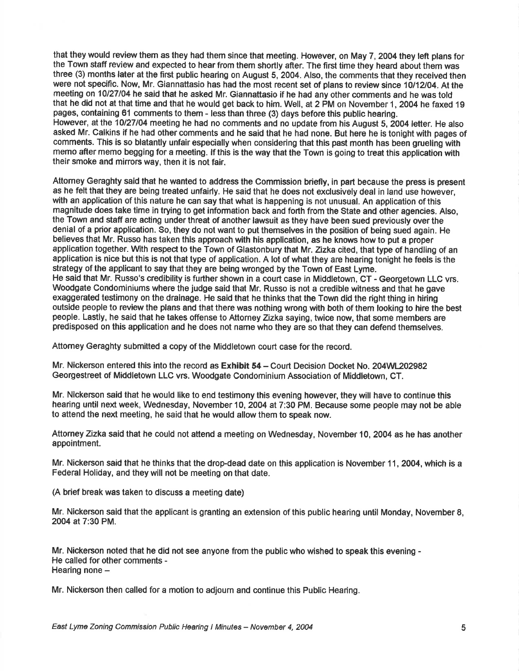that they would review them as they had them since that meeting. However, on May 7, 2004 they left plans for the Town staff review and expected to hear from them shortly after. The first time they heard about them was three (3) months later at the first public hearing on August 5, 2004. Also, the comments that they received then were not specific. Now, Mr. Giannattasio has had the most recent set of plans to review since 10/12/04. At the meeting on 10/27/04 he said that he asked Mr. Giannattasio if he had any other comments and he was told that he did not at that time and that he would get back to him. Well, at 2 PM on November 1, 2OO4 he faxed 19 pages, containing 61 comments to them - less than three (3) days before this public hearing. However, at the 10/27/04 meeting he had no comments and no update from his August 5, 2004 letter. He also asked Mr. Calkins if he had other comments and he said that he had none. But here he is tonight with pages of comments. This is so blatantly unfair especially when considering that this past month has been grueling with memo after memo begging for a meeting. lf this is the way that the Town is going to treat this application with their smoke and mirrors way, then it is not fair.

Attomey Geraghty said that he wanted to address the Commission briefly, in part because the press is present as he felt that they are being treated unfairly. He said that he does not exclusively deal in land use however, with an application of this nature he can say that what is happening is not unusual. An application of this magnitude does take time in trying to get information back and forth from the State and other agencies. Also, the Town and staff are acting under threat of another lawsuit as they have been sued previously over the denial of a prior application. So, they do not want to put themselves in the position of being sued again. He believes that Mr. Russo has taken thls approach with his application, as he knows how to put a proper application together. With respect to the Town of Glastonbury that Mr. Zizka cited, that type of handling of an application is nice but this is not that type of application. A lot of what they are hearing tonight he feels is the strategy of the applicant to say that they are being wronged by the Town of East Lyme. He said that Mr. Russo's credibility is further shown in a court case in Middletown, CT - Georgetown LLC vrs. Woodgate Condominiums where the judge said that Mr. Russo is not a credible witness and that he gave exaggerated testimony on the drainage. He said that he thinks that the Town did the right thing in hiring outside people to review the plans and that there was nothing wrong with both of them looking to hire the best people. Lastly, he said that he takes offense to Attorney Zizka saying, twice now, that some members are predisposed on this application and he does not name who they are so that they can defend themselves.

Attomey Geraghty submitted a copy of the Middletown court case for the record.

Mr. Nickerson entered this into the record as Exhibit 54 - Court Decision Docket No. 204WL202982 Georgestreet of Middletown LLC vrs. Woodgate Condominium Association of Middletown, CT.

Mr. Nlckerson said that he would like to end testimony this evening however, they will have to continue this hearing until next week, Wednesday, November 10, 2004 at 7:30 PM. Because some people may not be able to attend the next meeting, he said that he would allow them to speak now.

Attomey Zizka said that he could not attend a meeting on Wednesday, November 10,2004 as he has another appointment.

Mr. Nickerson said that he thinks that the drop-dead date on this application is November 11, 2004, which is a Federal Holiday, and they will not be meeting on that date.

(A brief break was taken to discuss a meeting date)

Mr. Nickerson said that the applicant is granting an extension of this public hearing until Monday, November 8, 2004 at 7:30 PM.

Mr. Nickerson noted that he did not see anyone from the public who wished to speak this evening - He called for other comments - Hearing none -

Mr, Nickerson then called for a motion to adjourn and continue this Public Hearing.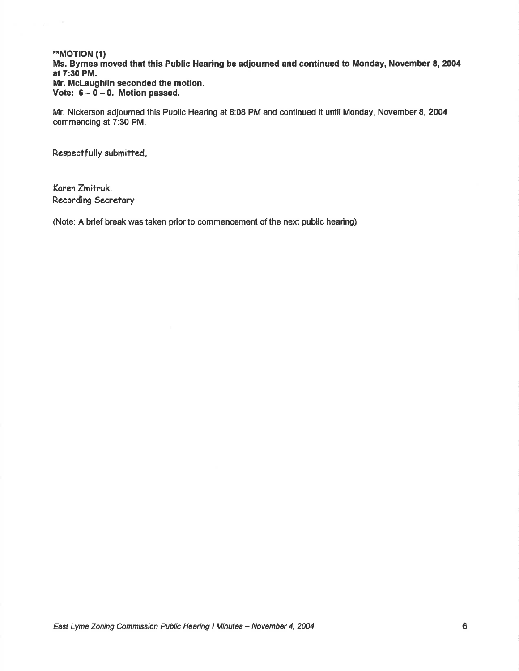\*\*MOT|ON (1) Ms. Bymes moved that this Public Hearing be adjoumed and continued to Monday, November 8,2004 at 7:30 PM. Mr. Mclaughlin seconded the motion. Vote:  $6-0-0$ . Motion passed.

Mr. Nickerson adjourned this Public Hearing at 8:08 PM and continued it until Monday, November 8, 2004 commencing at 7:30 PM.

Respectfully submitted,

Koren Zmitruk, Recording Secretory

(Note: A brief break was taken prior to commencement of the next public hearing)